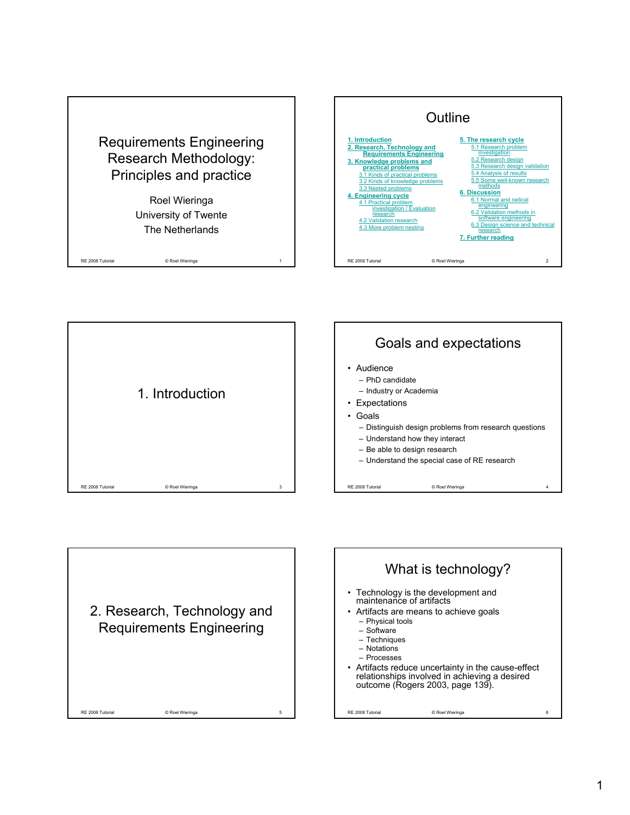







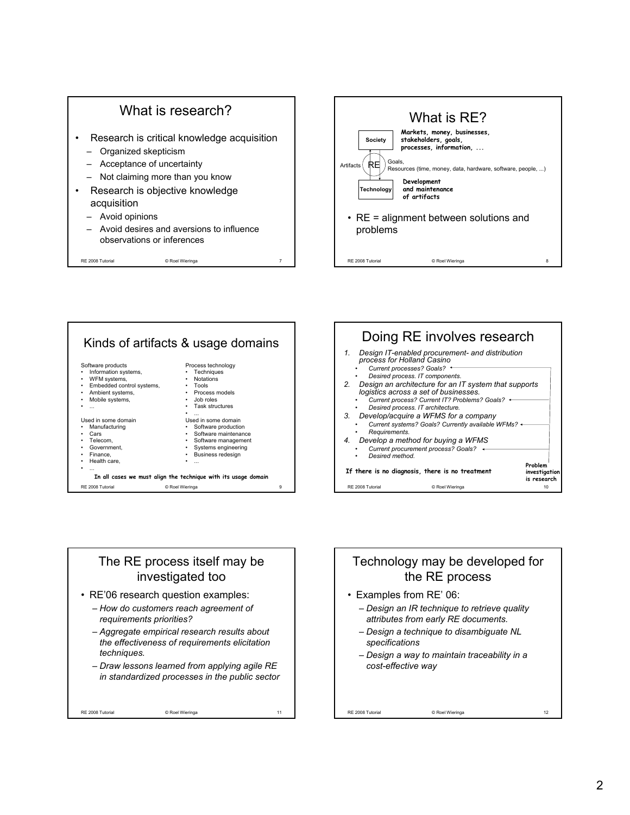







## The RE process itself may be investigated too

- RE'06 research question examples:
	- *How do customers reach agreement of requirements priorities?*
	- *Aggregate empirical research results about the effectiveness of requirements elicitation techniques.*
	- *Draw lessons learned from applying agile RE in standardized processes in the public sector*

RE 2008 Tutorial © Roel Wieringa 11

Technology may be developed for the RE process

- Examples from RE' 06:
	- *Design an IR technique to retrieve quality attributes from early RE documents.*
	- *Design a technique to disambiguate NL specifications*
	- *Design a way to maintain traceability in a cost-effective way*

RE 2008 Tutorial © Roel Wieringa 12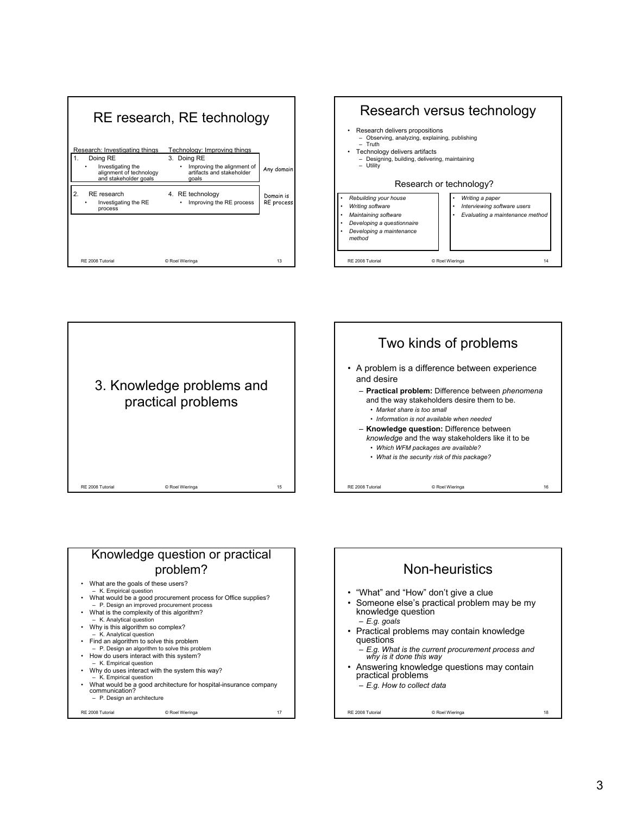







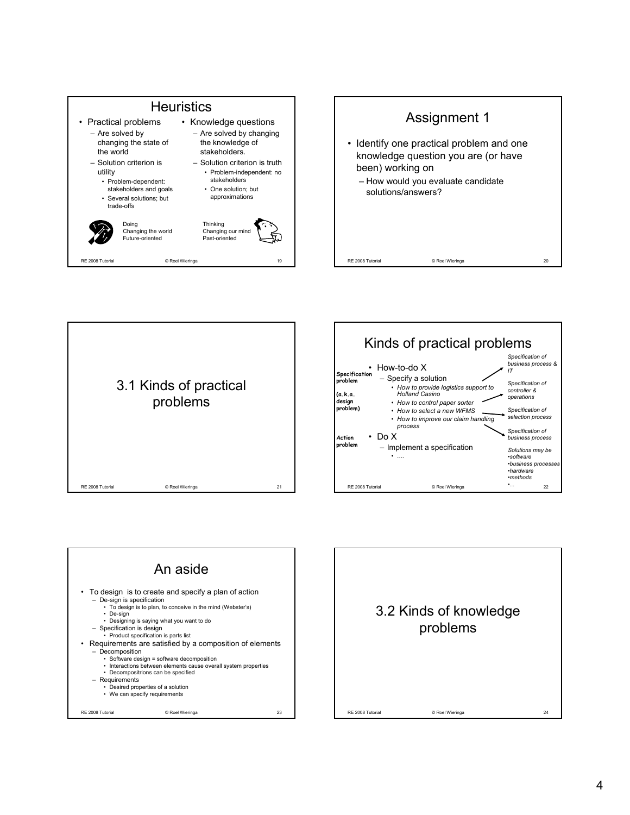









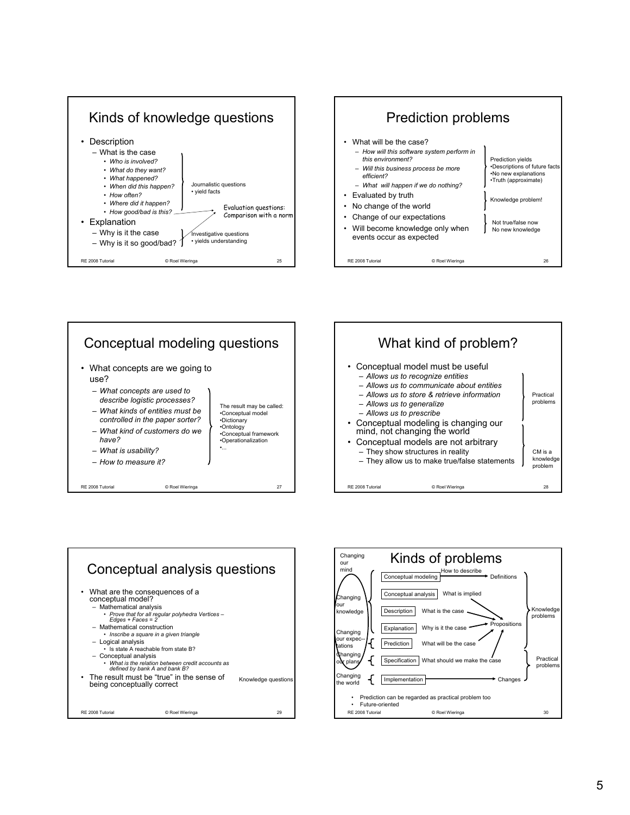









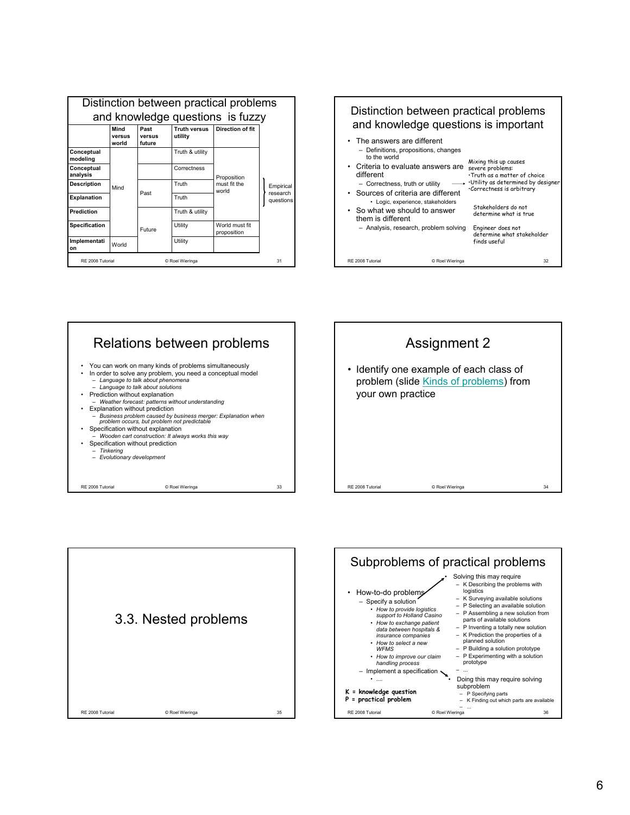|                                     | Distinction between practical problems |                          |                                |                                      |                                    |
|-------------------------------------|----------------------------------------|--------------------------|--------------------------------|--------------------------------------|------------------------------------|
| and knowledge questions is fuzzy    |                                        |                          |                                |                                      |                                    |
|                                     | Mind<br>versus<br>world                | Past<br>versus<br>future | <b>Truth versus</b><br>utility | Direction of fit                     |                                    |
| Conceptual<br>modeling              | Mind                                   |                          | Truth & utility                | Proposition<br>must fit the<br>world | Empirical<br>research<br>questions |
| Conceptual<br>analysis              |                                        |                          | Correctness                    |                                      |                                    |
| Description                         |                                        | Past                     | Truth                          |                                      |                                    |
| <b>Explanation</b>                  |                                        |                          | Truth                          |                                      |                                    |
| Prediction                          |                                        |                          | Truth & utility                |                                      |                                    |
| <b>Specification</b>                |                                        | <b>Future</b>            | Utility                        | World must fit<br>proposition        |                                    |
| Implementati<br>on                  | World                                  |                          | Utility                        |                                      |                                    |
| RE 2008 Tutorial<br>© Roel Wieringa |                                        |                          | 31                             |                                      |                                    |









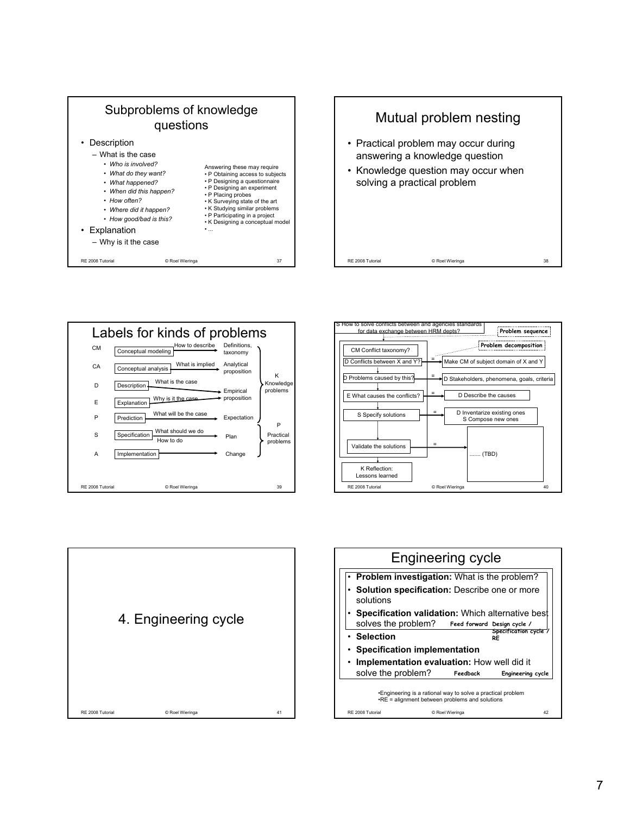









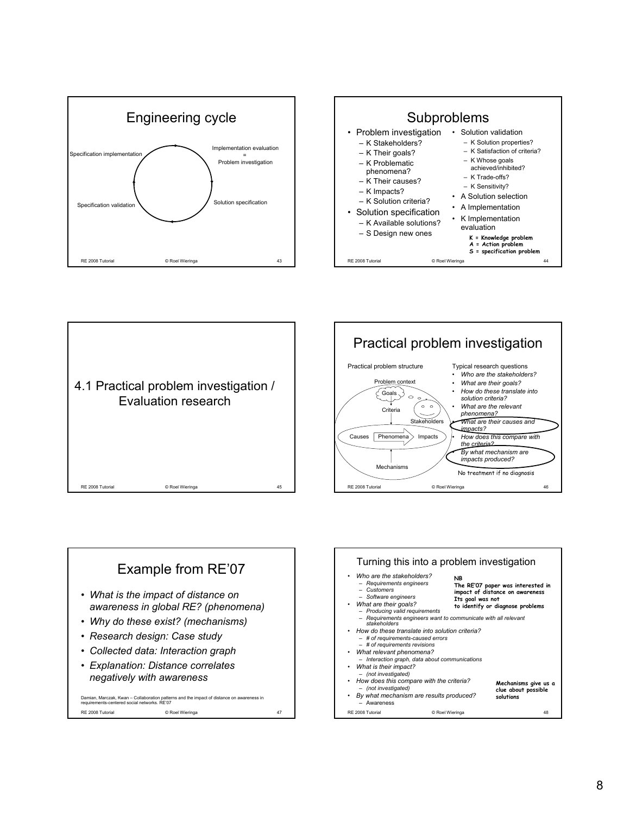







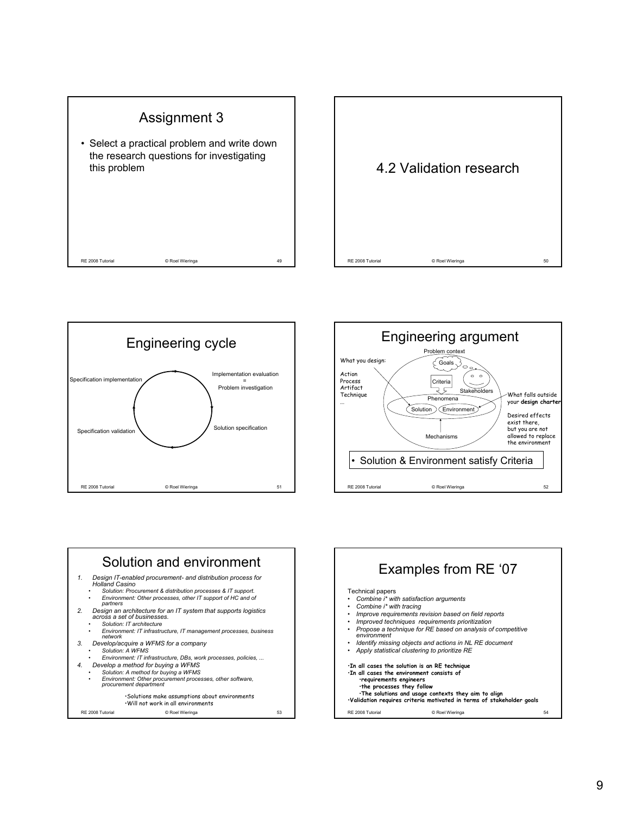









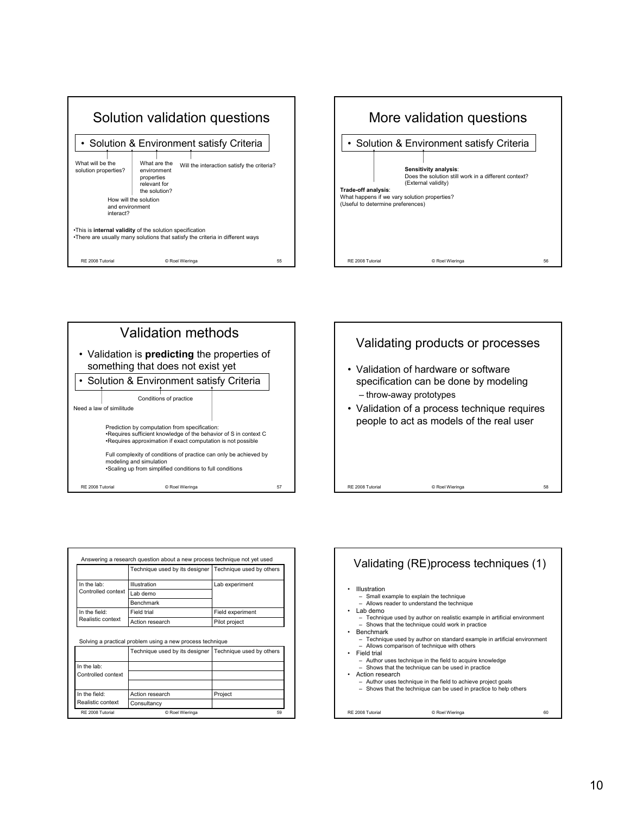







|                                    | Technique used by its designer   Technique used by others |                  |  |
|------------------------------------|-----------------------------------------------------------|------------------|--|
| In the lab:<br>Controlled context  | Illustration                                              | Lab experiment   |  |
|                                    | Lab demo                                                  |                  |  |
|                                    | <b>Benchmark</b>                                          |                  |  |
| In the field:<br>Realistic context | Field trial                                               | Field experiment |  |
|                                    | Action research                                           | Pilot project    |  |
|                                    | Solving a practical problem using a new process technique |                  |  |
|                                    |                                                           |                  |  |
|                                    | Technique used by its designer   Technique used by others |                  |  |
| In the lab:                        |                                                           |                  |  |

RE 2008 Tutorial © Roel Wieringa

Realistic context

**Consultancy** In the field: Action research Project



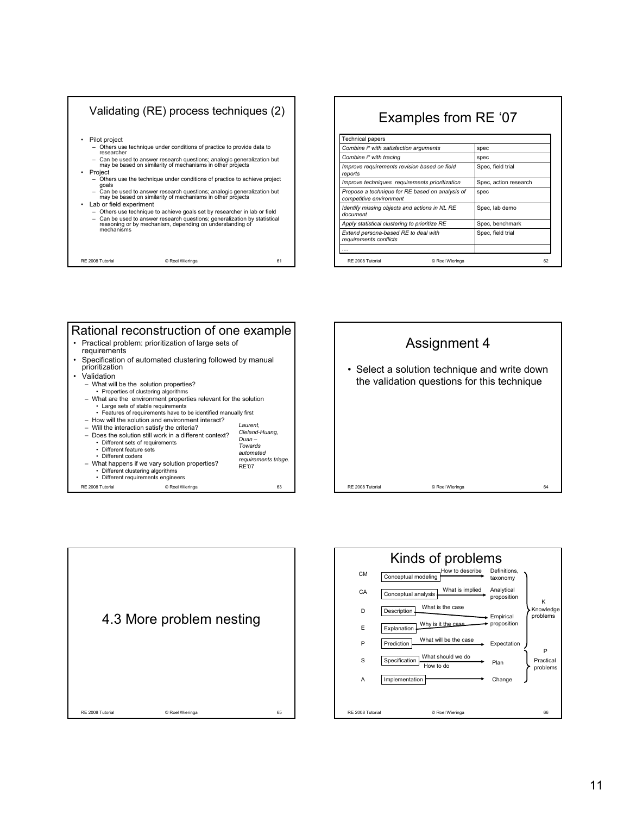

## RE 2008 Tutorial © Roel Wieringa 62 Examples from RE '07 .... *Extend persona-based RE to deal with* **Spec, field trial** Spec, field trial *requirements conflicts Apply statistical clustering to prioritize RE* Spec, benchmark *Identify missing objects and actions in NL RE* Spec, lab demo *document Propose a technique for RE based on analysis of* spec *competitive environment Improve techniques requirements prioritization* Spec, action research *Improve requirements revision based on field* Spec, field trial *reports* **Combine i\* with tracing** spec **Combine i\* with satisfaction arguments** spec Technical papers

## RE 2008 Tutorial © Roel Wieringa 63 Rational reconstruction of one example • Practical problem: prioritization of large sets of requirements • Specification of automated clustering followed by manual prioritization • Validation – What will be the solution properties? • Properties of clustering algorithms – What are the environment properties relevant for the solution • Large sets of stable requirements • Features of requirements have to be identified manually first – How will the solution and environment interact? – Will the interaction satisfy the criteria? – Does the solution still work in a different context? • Different sets of requirements • Different feature sets • Different coders – What happens if we vary solution properties? • Different clustering algorithms • Different requirements engineers *Laurent, Cleland-Huang, Duan – Towards automated requirements triage.* RE'07





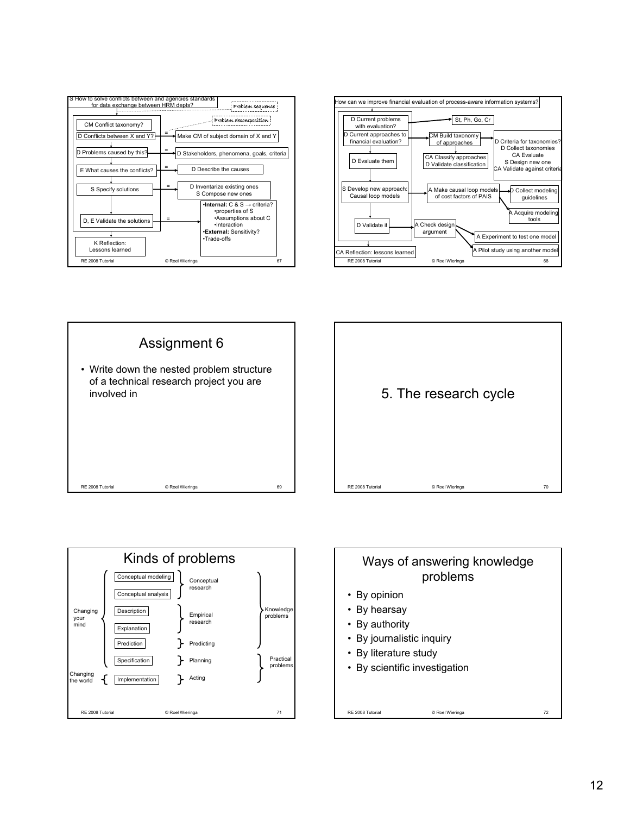









## Ways of answering knowledge problems

RE 2008 Tutorial **CONFINGTON CONTROL** CONSIDERING ROLL OF ROCK CONTROL CONTROL CONTROL CONTROL CONTROL CONTROL CONTROL CONTROL CONTROL CONTROL CONTROL CONTROL CONTROL CONTROL CONTROL CONTROL CONTROL CONTROL CONTROL CONTROL

- By opinion
- By hearsay
- By authority
- By journalistic inquiry
- By literature study
- By scientific investigation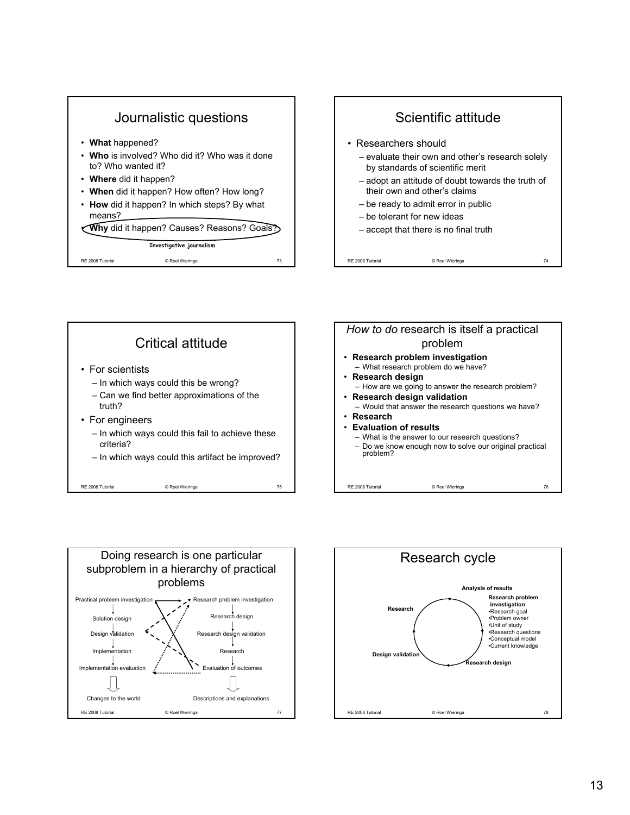







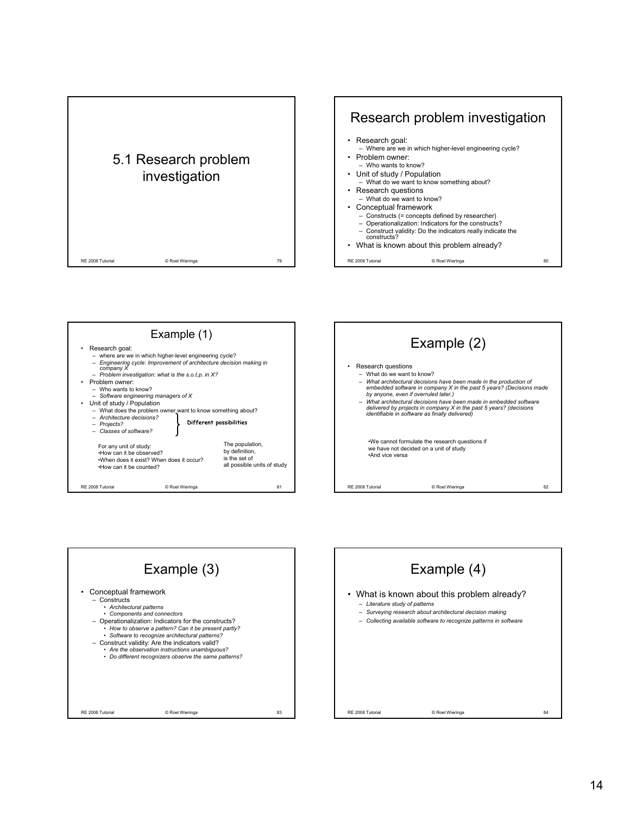









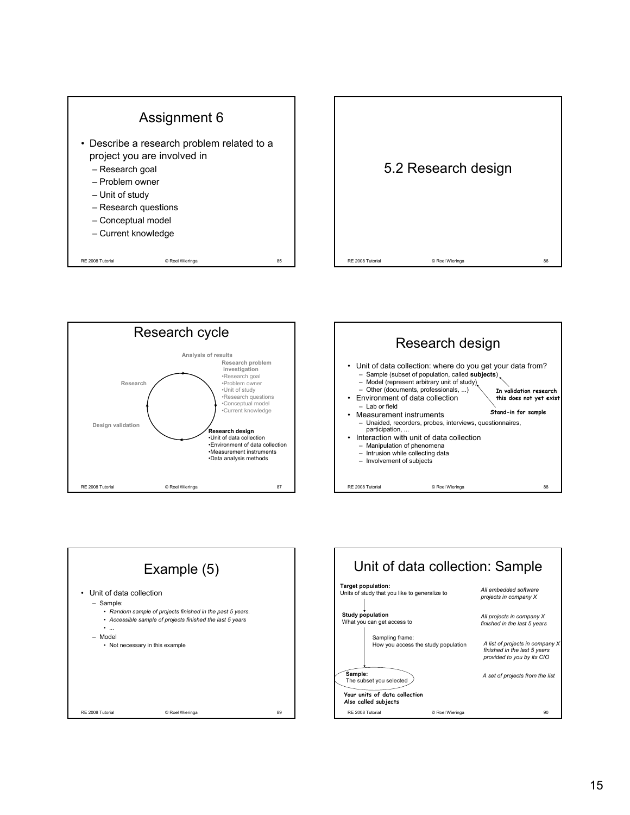







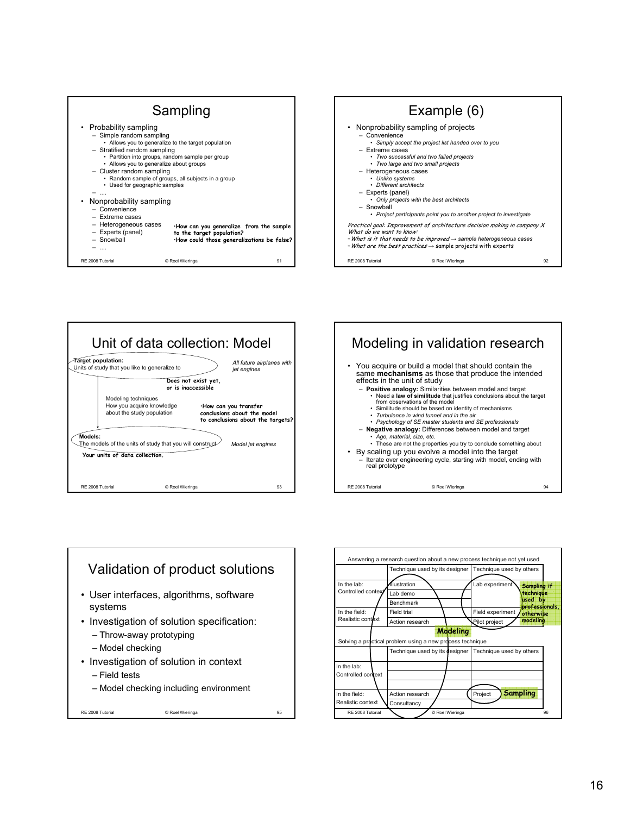









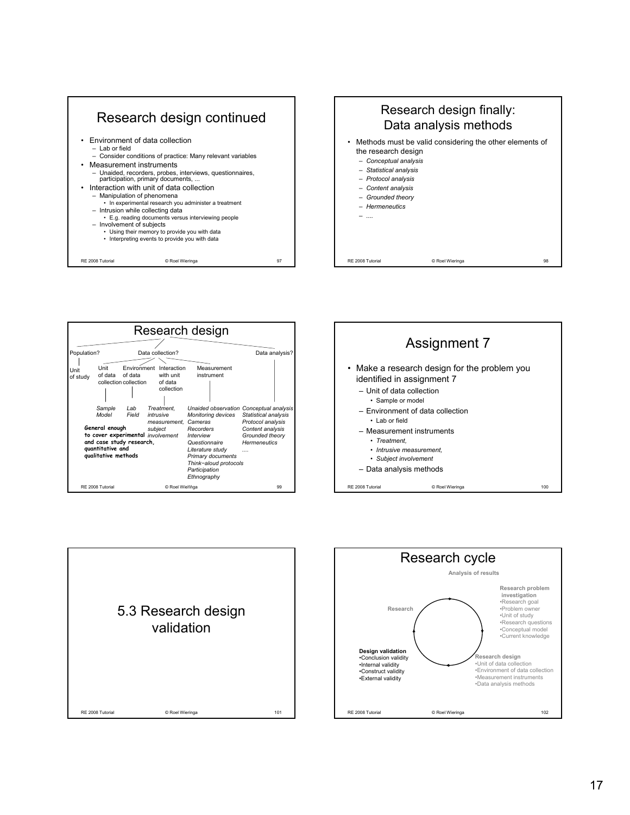









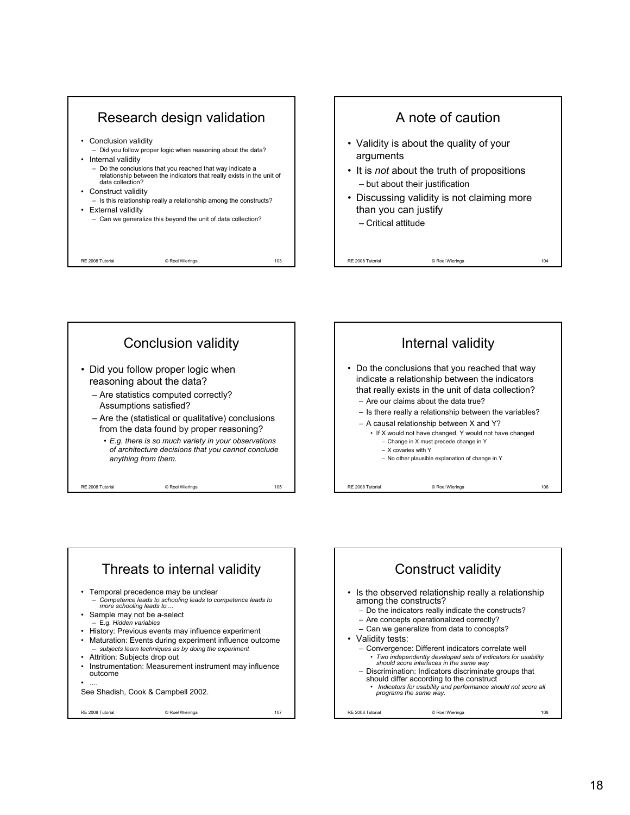









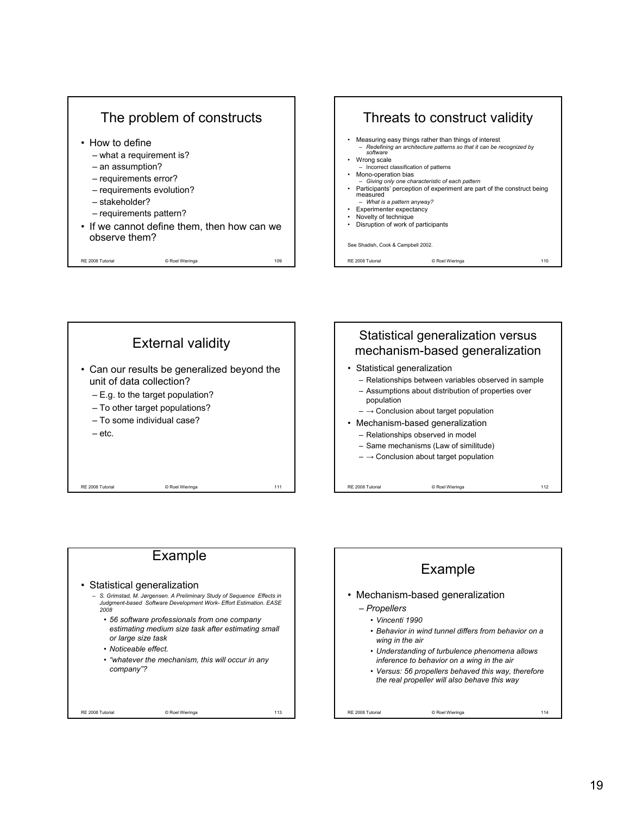







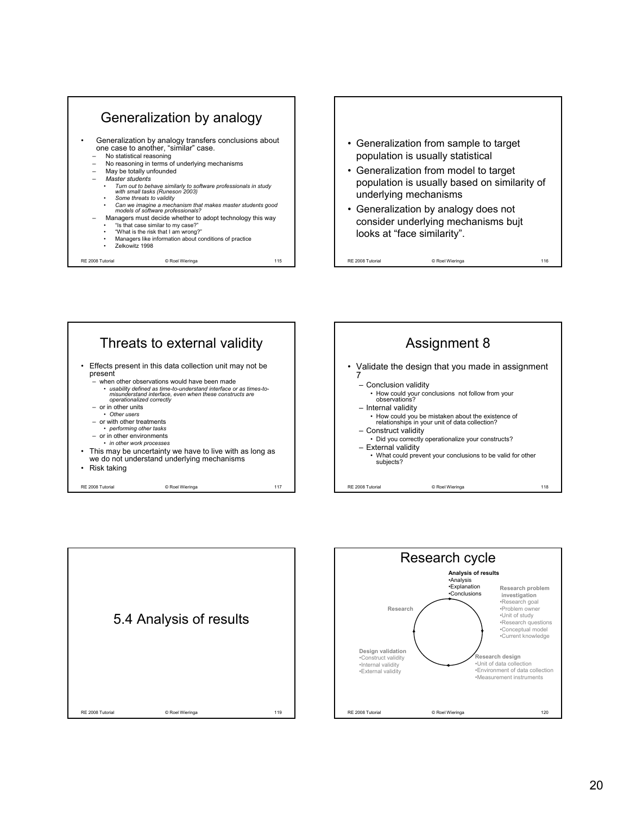



• Generalization from model to target population is usually based on similarity of underlying mechanisms

RE 2008 Tutorial **CONFINGION** CONSIDERING CONTROLLER CONSIDERING CONTROLLER CONSIDERATION OF THE 2008 TURBER OF THE 2008 TURBER OF THE 2008 TURBER OF THE 2008 TURBER OF THE 2008 TURBER OF THE 2008 TURBER OF THE 2008 TURBER

• Generalization by analogy does not consider underlying mechanisms bujt looks at "face similarity".





RE 2008 Tutorial © Roel Wieringa 119 5.4 Analysis of results

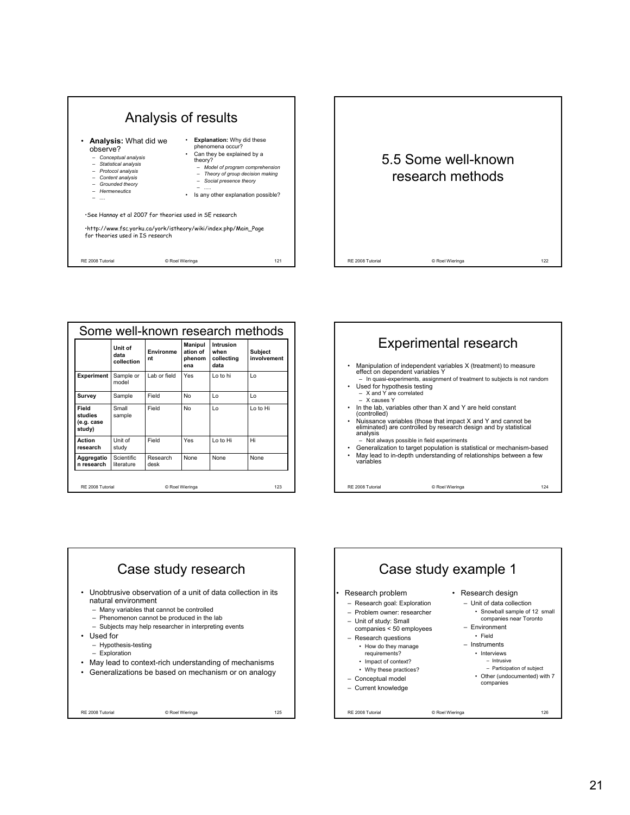



| Some well-known research methods           |                                 |                  |                                             |                                         |                               |
|--------------------------------------------|---------------------------------|------------------|---------------------------------------------|-----------------------------------------|-------------------------------|
|                                            | Unit of<br>data<br>collection   | Environme<br>nt  | <b>Manipul</b><br>ation of<br>phenom<br>ena | Intrusion<br>when<br>collecting<br>data | <b>Subject</b><br>involvement |
| Experiment                                 | Sample or<br>model              | Lab or field     | Yes                                         | I o to hi                               | $\overline{1}$                |
| Survey                                     | Sample                          | Field            | No                                          | Lo                                      | $\overline{1}$                |
| Field<br>studies<br>(e.g. case<br>study)   | Small<br>sample                 | Field            | No                                          | Lo                                      | Lo to Hi                      |
| Action<br>research                         | Unit of<br>study                | Field            | Yes                                         | Lo to Hi                                | Hi                            |
| Aggregatio<br>n research                   | <b>Scientific</b><br>literature | Research<br>desk | None                                        | None                                    | <b>None</b>                   |
| RF 2008 Tutorial<br>123<br>© Roel Wieringa |                                 |                  |                                             |                                         |                               |





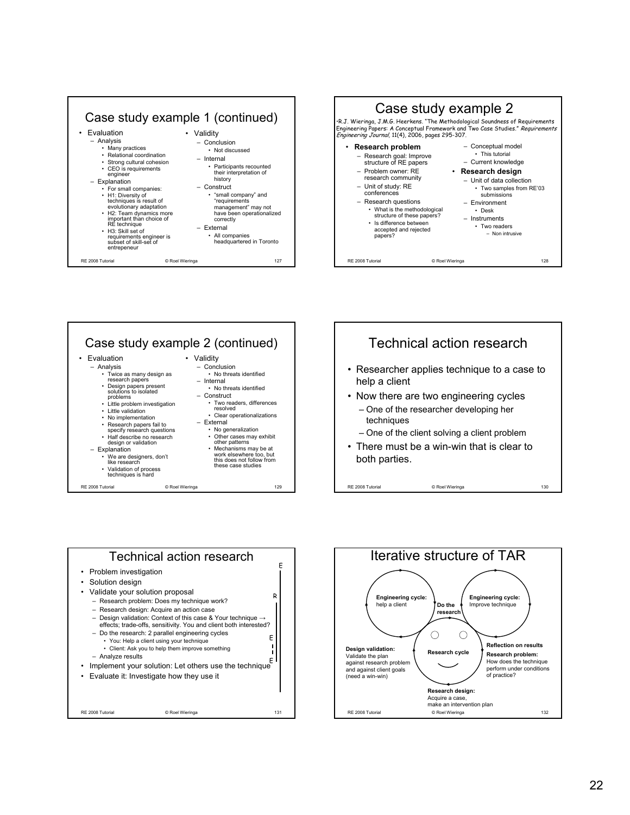









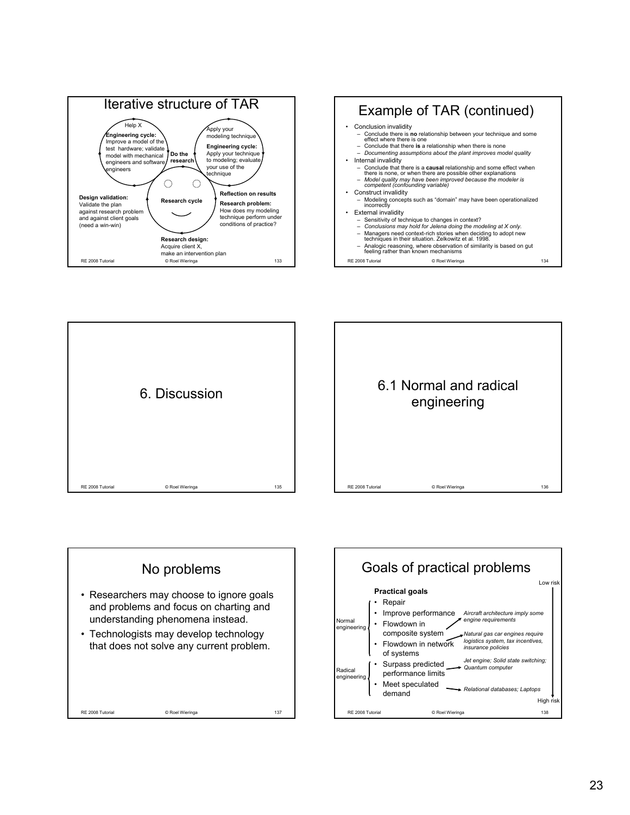







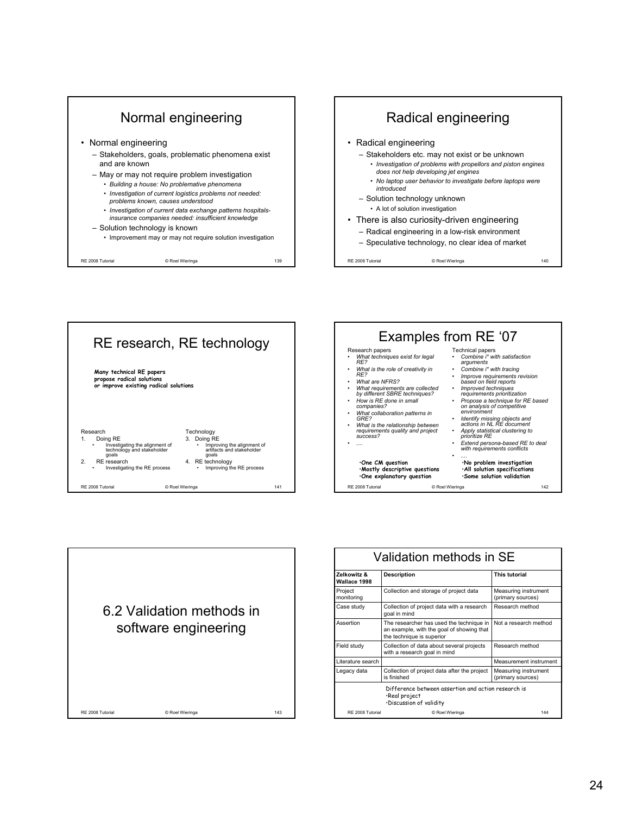







| Validation methods in SE                                                                        |                                                                                                                    |                                           |  |  |
|-------------------------------------------------------------------------------------------------|--------------------------------------------------------------------------------------------------------------------|-------------------------------------------|--|--|
| Zelkowitz &<br>Wallace 1998                                                                     | <b>Description</b>                                                                                                 | This tutorial                             |  |  |
| Project<br>monitoring                                                                           | Collection and storage of project data                                                                             | Measuring instrument<br>(primary sources) |  |  |
| Case study                                                                                      | Collection of project data with a research<br>goal in mind                                                         | Research method                           |  |  |
| Assertion                                                                                       | The researcher has used the technique in<br>an example, with the goal of showing that<br>the technique is superior | Not a research method                     |  |  |
| Field study                                                                                     | Collection of data about several projects<br>with a research goal in mind                                          | Research method                           |  |  |
| Literature search                                                                               |                                                                                                                    | Measurement instrument                    |  |  |
| Legacy data                                                                                     | Collection of project data after the project<br>is finished                                                        | Measuring instrument<br>(primary sources) |  |  |
| Difference between assertion and action research is<br>·Real project<br>·Discussion of validity |                                                                                                                    |                                           |  |  |
| RF 2008 Tutorial                                                                                | © Roel Wieringa                                                                                                    | 144                                       |  |  |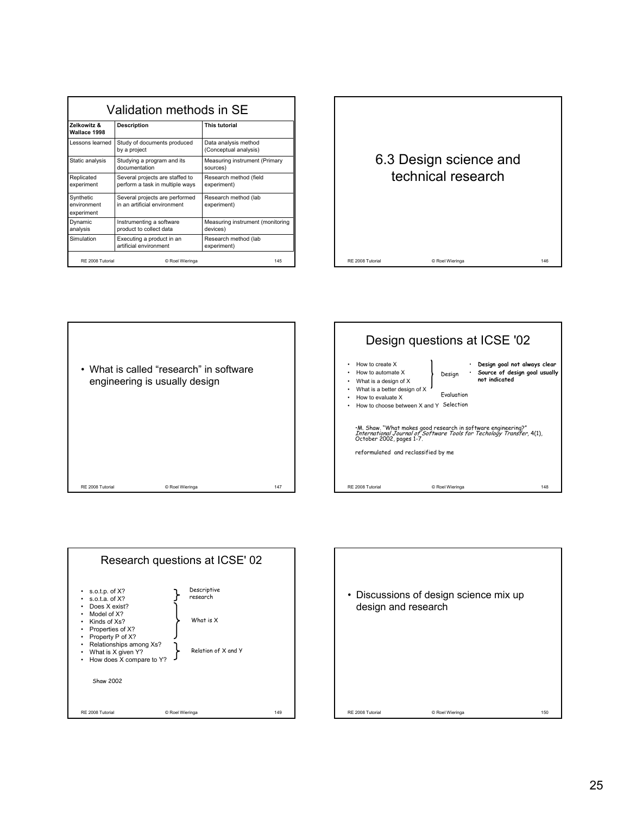| Validation methods in SE               |                                                                    |                                               |  |
|----------------------------------------|--------------------------------------------------------------------|-----------------------------------------------|--|
| Zelkowitz &<br>Wallace 1998            | <b>Description</b>                                                 | This tutorial                                 |  |
| Lessons learned                        | Study of documents produced<br>by a project                        | Data analysis method<br>(Conceptual analysis) |  |
| Static analysis                        | Studying a program and its<br>documentation                        | Measuring instrument (Primary<br>sources)     |  |
| Replicated<br>experiment               | Several projects are staffed to<br>perform a task in multiple ways | Research method (field<br>experiment)         |  |
| Synthetic<br>environment<br>experiment | Several projects are performed<br>in an artificial environment     | Research method (lab<br>experiment)           |  |
| Dynamic<br>analysis                    | Instrumenting a software<br>product to collect data                | Measuring instrument (monitoring<br>devices)  |  |
| Simulation                             | Executing a product in an<br>artificial environment                | Research method (lab<br>experiment)           |  |
| RF 2008 Tutorial                       | © Roel Wieringa                                                    | 145                                           |  |









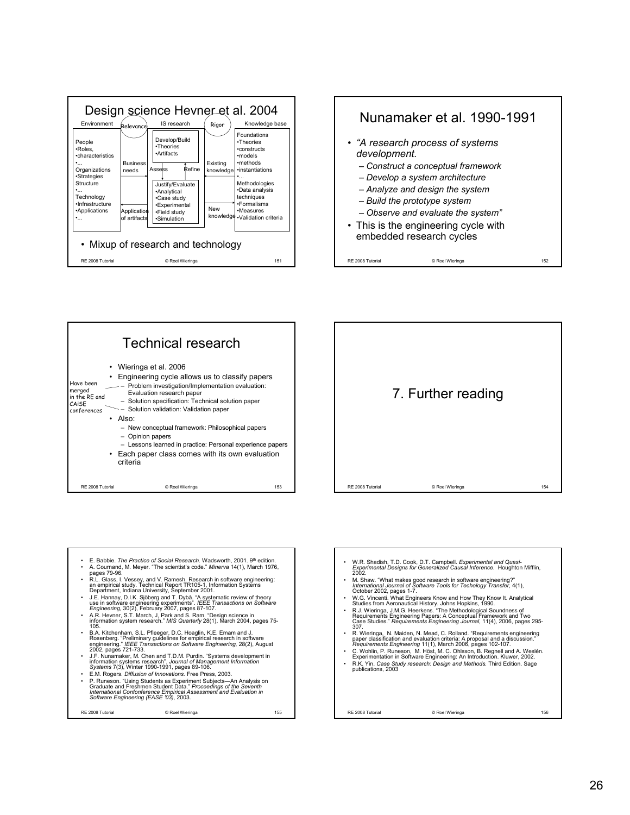







- E. Babbie. *The Practice of Social Research.* Wadsworth, 2001. 9th edition. A. Cournand, M. Meyer. "The scientist's code." *Minerva* 14(1), March 1976, pages 79-96.
- R.L. Glass, I. Vessey, and V. Ramesh. Research in software engineering: an empirical study. Technical Report TR105-1, Information Systems Department, Indiana University, September 2001.
- J.E. Hannay, D.I.K. Sjöberg and T. Dybå. "A systematic review of theory use in software engineering experiments". *IEEE Transactions on Software Engineering,* 30(2), February 2007, pages 87-107.
- A.R. Hevner, S.T. March, J, Park and S. Ram. "Design science in information system research." *MIS Quarterly* 28(1), March 2004, pages 75- 105.
- B.A. Kitchenham, S.L. Pfleeger, D.C. Hoaglin, K.E. Emam and J.<br>Rosenberg. "Preliminary guidelines for empirical research in software<br>engineering." *IEEE Transactions on Software Engineering, 2*8(2), August<br>2002, pages 72
- J.F. Nunamaker, M. Chen and T.D.M. Purdin. "Systems development in<br>information systems research". Journal of Management Information<br>Systems 7(3), Winter 1990-1991, pages 89-106.<br>• E.M. Rogers. *Diffusion of Innovations.*
- P. Runeson. "Using Students as Experiment Subjects—An Analysis on<br>Graduate and Freshmen Student Data." *Proceedings of the Seventh*<br>International Confonference Empirical Assessment and Evaluation in<br>Software Engineering

RE 2008 Tutorial © Roel Wieringa 155